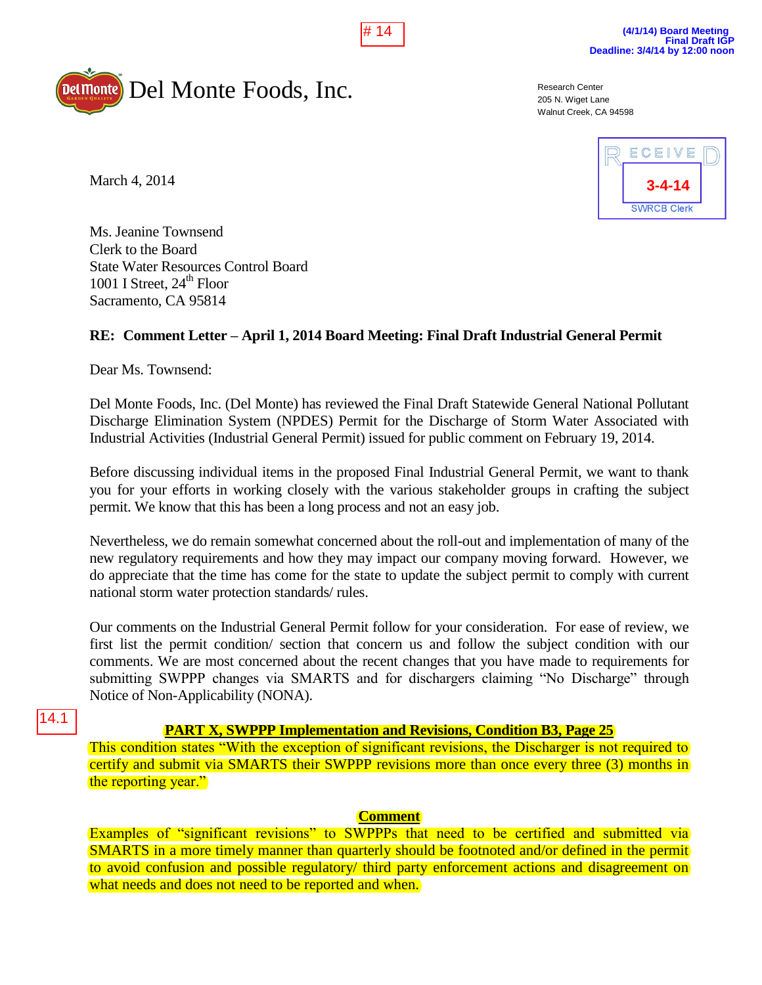



Research Center 205 N. Wiget Lane Walnut Creek, CA 94598



March 4, 2014

Ms. Jeanine Townsend Clerk to the Board State Water Resources Control Board 1001 I Street,  $24<sup>th</sup>$  Floor Sacramento, CA 95814

# **RE: Comment Letter – April 1, 2014 Board Meeting: Final Draft Industrial General Permit**

Dear Ms. Townsend:

Del Monte Foods, Inc. (Del Monte) has reviewed the Final Draft Statewide General National Pollutant Discharge Elimination System (NPDES) Permit for the Discharge of Storm Water Associated with Industrial Activities (Industrial General Permit) issued for public comment on February 19, 2014.

Before discussing individual items in the proposed Final Industrial General Permit, we want to thank you for your efforts in working closely with the various stakeholder groups in crafting the subject permit. We know that this has been a long process and not an easy job.

Nevertheless, we do remain somewhat concerned about the roll-out and implementation of many of the new regulatory requirements and how they may impact our company moving forward. However, we do appreciate that the time has come for the state to update the subject permit to comply with current national storm water protection standards/ rules.

Our comments on the Industrial General Permit follow for your consideration. For ease of review, we first list the permit condition/ section that concern us and follow the subject condition with our comments. We are most concerned about the recent changes that you have made to requirements for submitting SWPPP changes via SMARTS and for dischargers claiming "No Discharge" through Notice of Non-Applicability (NONA).

14.1

# **PART X, SWPPP Implementation and Revisions, Condition B3, Page 25**

This condition states "With the exception of significant revisions, the Discharger is not required to certify and submit via SMARTS their SWPPP revisions more than once every three (3) months in the reporting year."

## **Comment**

Examples of "significant revisions" to SWPPPs that need to be certified and submitted via SMARTS in a more timely manner than quarterly should be footnoted and/or defined in the permit to avoid confusion and possible regulatory/ third party enforcement actions and disagreement on what needs and does not need to be reported and when.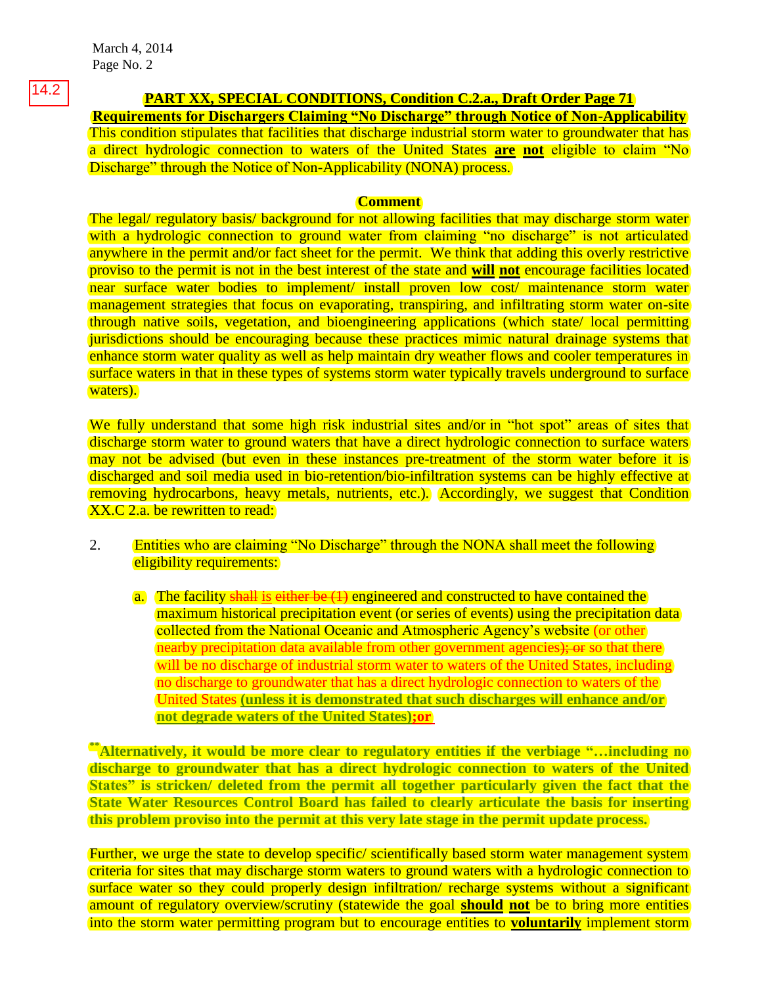March 4, 2014 Page No. 2

### **PART XX, SPECIAL CONDITIONS, Condition C.2.a., Draft Order Page 71**

**Requirements for Dischargers Claiming "No Discharge" through Notice of Non-Applicability**  This condition stipulates that facilities that discharge industrial storm water to groundwater that has a direct hydrologic connection to waters of the United States **are not** eligible to claim "No Discharge" through the Notice of Non-Applicability (NONA) process.

#### **Comment**

The legal/ regulatory basis/ background for not allowing facilities that may discharge storm water with a hydrologic connection to ground water from claiming "no discharge" is not articulated anywhere in the permit and/or fact sheet for the permit. We think that adding this overly restrictive proviso to the permit is not in the best interest of the state and **will not** encourage facilities located near surface water bodies to implement/ install proven low cost/ maintenance storm water management strategies that focus on evaporating, transpiring, and infiltrating storm water on-site through native soils, vegetation, and bioengineering applications (which state/ local permitting jurisdictions should be encouraging because these practices mimic natural drainage systems that enhance storm water quality as well as help maintain dry weather flows and cooler temperatures in surface waters in that in these types of systems storm water typically travels underground to surface waters).

We fully understand that some high risk industrial sites and/or in "hot spot" areas of sites that discharge storm water to ground waters that have a direct hydrologic connection to surface waters may not be advised (but even in these instances pre-treatment of the storm water before it is discharged and soil media used in bio-retention/bio-infiltration systems can be highly effective at removing hydrocarbons, heavy metals, nutrients, etc.). Accordingly, we suggest that Condition XX.C 2.a. be rewritten to read:

- 2. Entities who are claiming "No Discharge" through the NONA shall meet the following eligibility requirements:
	- a. The facility shall is either be  $(1)$  engineered and constructed to have contained the maximum historical precipitation event (or series of events) using the precipitation data collected from the National Oceanic and Atmospheric Agency's website (or other nearby precipitation data available from other government agencies); or so that there will be no discharge of industrial storm water to waters of the United States, including no discharge to groundwater that has a direct hydrologic connection to waters of the United States **(unless it is demonstrated that such discharges will enhance and/or not degrade waters of the United States);or**

**\*\*Alternatively, it would be more clear to regulatory entities if the verbiage "…including no discharge to groundwater that has a direct hydrologic connection to waters of the United States" is stricken/ deleted from the permit all together particularly given the fact that the State Water Resources Control Board has failed to clearly articulate the basis for inserting this problem proviso into the permit at this very late stage in the permit update process.** 

Further, we urge the state to develop specific/ scientifically based storm water management system criteria for sites that may discharge storm waters to ground waters with a hydrologic connection to surface water so they could properly design infiltration/ recharge systems without a significant amount of regulatory overview/scrutiny (statewide the goal **should not** be to bring more entities into the storm water permitting program but to encourage entities to **voluntarily** implement storm

14.2